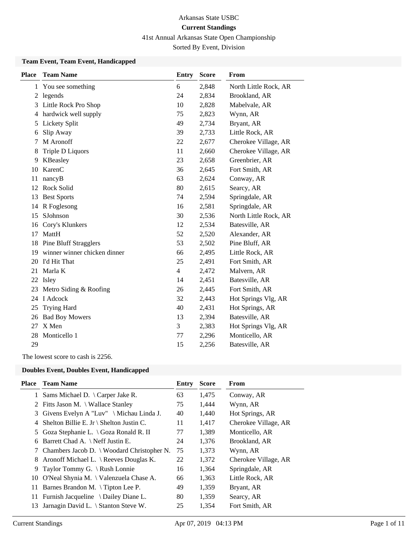## 41st Annual Arkansas State Open Championship

Sorted By Event, Division

### **Team Event, Team Event, Handicapped**

| <b>Place</b> | <b>Team Name</b>             | <b>Entry</b>   | <b>Score</b> | From                  |
|--------------|------------------------------|----------------|--------------|-----------------------|
|              | 1 You see something          | 6              | 2,848        | North Little Rock, AR |
|              | 2 legends                    | 24             | 2,834        | Brookland, AR         |
| 3            | Little Rock Pro Shop         | 10             | 2,828        | Mabelvale, AR         |
| 4            | hardwick well supply         | 75             | 2,823        | Wynn, AR              |
| 5            | Lickety Split                | 49             | 2,734        | Bryant, AR            |
| 6            | Slip Away                    | 39             | 2,733        | Little Rock, AR       |
| 7            | M Aronoff                    | 22             | 2,677        | Cherokee Village, AR  |
| 8            | Triple D Liquors             | 11             | 2,660        | Cherokee Village, AR  |
| 9            | KBeasley                     | 23             | 2,658        | Greenbrier, AR        |
| 10           | KarenC                       | 36             | 2,645        | Fort Smith, AR        |
| 11           | nancyB                       | 63             | 2,624        | Conway, AR            |
| 12           | Rock Solid                   | 80             | 2,615        | Searcy, AR            |
| 13           | <b>Best Sports</b>           | 74             | 2,594        | Springdale, AR        |
| 14           | R Foglesong                  | 16             | 2,581        | Springdale, AR        |
| 15           | SJohnson                     | 30             | 2,536        | North Little Rock, AR |
| 16           | Cory's Klunkers              | 12             | 2,534        | Batesville, AR        |
| 17           | MattH                        | 52             | 2,520        | Alexander, AR         |
| 18           | <b>Pine Bluff Stragglers</b> | 53             | 2,502        | Pine Bluff, AR        |
| 19           | winner winner chicken dinner | 66             | 2,495        | Little Rock, AR       |
| 20           | I'd Hit That                 | 25             | 2,491        | Fort Smith, AR        |
| 21           | Marla K                      | $\overline{4}$ | 2,472        | Malvern, AR           |
| 22           | Isley                        | 14             | 2,451        | Batesville, AR        |
| 23           | Metro Siding & Roofing       | 26             | 2,445        | Fort Smith, AR        |
| 24           | I Adcock                     | 32             | 2,443        | Hot Springs Vlg, AR   |
| 25           | <b>Trying Hard</b>           | 40             | 2,431        | Hot Springs, AR       |
| 26           | <b>Bad Boy Mowers</b>        | 13             | 2,394        | Batesville, AR        |
| 27           | X Men                        | 3              | 2,383        | Hot Springs Vlg, AR   |
| 28           | Monticello 1                 | 77             | 2,296        | Monticello, AR        |
| 29           |                              | 15             | 2,256        | Batesville, AR        |

The lowest score to cash is 2256.

### **Doubles Event, Doubles Event, Handicapped**

| Place | <b>Team Name</b>                                 | Entry | <b>Score</b> | From                 |
|-------|--------------------------------------------------|-------|--------------|----------------------|
|       | 1 Sams Michael D. \ Carper Jake R.               | 63    | 1,475        | Conway, AR           |
|       | 2 Fitts Jason M. \ Wallace Stanley               | 75    | 1,444        | Wynn, AR             |
|       | 3 Givens Evelyn A "Luv" \ Michau Linda J.        | 40    | 1,440        | Hot Springs, AR      |
| 4     | Shelton Billie E. Jr \ Shelton Justin C.         | 11    | 1,417        | Cherokee Village, AR |
|       | 5 Goza Stephanie L. \ Goza Ronald R. II          | 77    | 1,389        | Monticello, AR       |
| 6     | Barrett Chad A. \ Neff Justin E.                 | 24    | 1,376        | Brookland, AR        |
|       | 7 Chambers Jacob D. \ Woodard Christopher N.     | 75    | 1,373        | Wynn, AR             |
|       | 8 Aronoff Michael L. \ Reeves Douglas K.         | 22    | 1,372        | Cherokee Village, AR |
|       | 9 Taylor Tommy G. $\lambda$ Rush Lonnie          | 16    | 1,364        | Springdale, AR       |
| 10    | O'Neal Shynia M. $\setminus$ Valenzuela Chase A. | 66    | 1,363        | Little Rock, AR      |
| 11    | Barnes Brandon M. \Tipton Lee P.                 | 49    | 1,359        | Bryant, AR           |
| 11.   | Furnish Jacqueline $\setminus$ Dailey Diane L.   | 80    | 1,359        | Searcy, AR           |
| 13    | Jarnagin David L. \ Stanton Steve W.             | 25    | 1,354        | Fort Smith, AR       |
|       |                                                  |       |              |                      |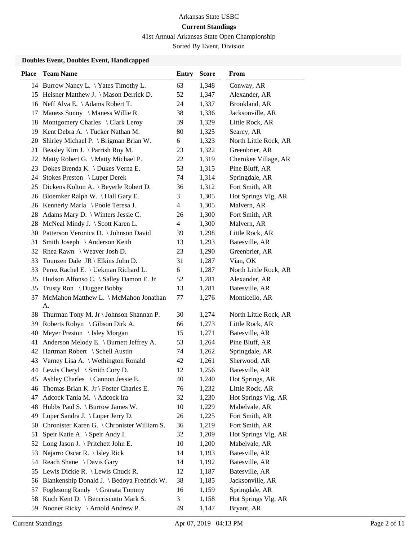41st Annual Arkansas State Open Championship

Sorted By Event, Division

### **Doubles Event, Doubles Event, Handicapped**

| 14 Burrow Nancy L. \Yates Timothy L.<br>63<br>1,348<br>Conway, AR<br>52<br>Alexander, AR<br>15 Heisner Matthew J. \ Mason Derrick D.<br>1,347<br>16 Neff Alva E. \Adams Robert T.<br>Brookland, AR<br>24<br>1,337<br>Maness Sunny \ Maness Willie R.<br>38<br>1,336<br>Jacksonville, AR<br>17<br>Montgomery Charles \ Clark Leroy<br>39<br>1,329<br>Little Rock, AR<br>18<br>Kent Debra A. \Tucker Nathan M.<br>80<br>Searcy, AR<br>19<br>1,325<br>Shirley Michael P. \ Brigman Brian W.<br>6<br>1,323<br>North Little Rock, AR<br>20<br>Beasley Kim J. $\$ Parrish Roy M.<br>23<br>1,322<br>Greenbrier, AR<br>21<br>Matty Robert G. \ Matty Michael P.<br>22<br>1,319<br>Cherokee Village, AR<br>22<br>53<br>Dokes Brenda K. \ Dukes Verna E.<br>1,315<br>Pine Bluff, AR<br>23<br>24 Stokes Preston \ Luper Derek<br>74<br>1,314<br>Springdale, AR<br>Fort Smith, AR<br>25 Dickens Kolton A. \ Beyerle Robert D.<br>36<br>1,312<br>Hot Springs Vlg, AR<br>26 Bloemker Ralph W. \Hall Gary E.<br>3<br>1,305<br>26 Kennerly Marla \ Poole Teresa J.<br>4<br>1,305<br>Malvern, AR<br>28 Adams Mary D. \ Winters Jessie C.<br>26<br>Fort Smith, AR<br>1,300<br>28 McNeal Mindy J. \ Scott Karen L.<br>4<br>1,300<br>Malvern, AR<br>30 Patterson Veronica D. \ Johnson David<br>39<br>1,298<br>Little Rock, AR<br>Smith Joseph \ Anderson Keith<br>13<br>1,293<br>Batesville, AR<br>31<br>23<br>Greenbrier, AR<br>32 Rhea Rawn \ Weaver Josh D.<br>1,290<br>Vian, OK<br>Tounzen Dale $JR \setminus E$ lkins John D.<br>31<br>1,287<br>33<br>33 Perez Rachel E. \ Uekman Richard L.<br>6<br>North Little Rock, AR<br>1,287<br>Hudson Alfonso C. \ Salley Damon E. Jr<br>Alexander, AR<br>52<br>1,281<br>35<br>Trusty Ron $\setminus$ Dugger Bobby<br>13<br>1,281<br>Batesville, AR<br>35<br>McMahon Matthew L. \ McMahon Jonathan<br>1,276<br>Monticello, AR<br>37<br>77<br>А.<br>Thurman Tony M. Jr \ Johnson Shannan P.<br>30<br>1,274<br>North Little Rock, AR<br>38<br>Roberts Robyn \ Gibson Dirk A.<br>66<br>1,273<br>Little Rock, AR<br>39<br>Meyer Preston \ Isley Morgan<br>40<br>15<br>1,271<br>Batesville, AR<br>Anderson Melody E. \ Burnett Jeffrey A.<br>53<br>1,264<br>Pine Bluff, AR<br>41<br>42 Hartman Robert \ Schell Austin<br>Springdale, AR<br>74<br>1,262<br>Varney Lisa A.   Wethington Ronald<br>42<br>1,261<br>Sherwood, AR<br>43<br>44 Lewis Cheryl \ Smith Cory D.<br>12<br>1,256<br>Batesville, AR<br>Ashley Charles \ Cannon Jessie E.<br>40<br>1,240<br>Hot Springs, AR<br>45<br>Thomas Brian K. Jr \ Foster Charles E.<br>76<br>1,232<br>Little Rock, AR<br>46<br>Hot Springs Vlg, AR<br>Adcock Tania M. \Adcock Ira<br>32<br>1,230<br>47<br>Hubbs Paul S. \ Burrow James W.<br>10<br>Mabelvale, AR<br>48<br>1,229<br>Luper Sandra J. \ Luper Jerry D.<br>26<br>1,225<br>Fort Smith, AR<br>49<br>Chronister Karen G. \ Chronister William S.<br>36<br>1,219<br>Fort Smith, AR<br>50<br>Speir Katie A. \ Speir Andy I.<br>32<br>1,209<br>Hot Springs Vlg, AR<br>51<br>Long Jason J. \ Pritchett John E.<br>10<br>1,200<br>52<br>Mabelvale, AR<br>Najarro Oscar R. \ Isley Rick<br>14<br>Batesville, AR<br>53<br>1,193<br>Reach Shane \ Davis Gary<br>Batesville, AR<br>14<br>1,192<br>54<br>Lewis Dickie R. \ Lewis Chuck R.<br>12<br>Batesville, AR<br>55<br>1,187<br>38<br>Blankenship Donald J. \ Bedoya Fredrick W.<br>Jacksonville, AR<br>1,185<br>56<br>Foglesong Randy \ Granata Tommy<br>Springdale, AR<br>16<br>1,159<br>57<br>Kuch Kent D. \ Bencriscutto Mark S.<br>3<br>1,158<br>Hot Springs Vlg, AR<br>58 | <b>Place</b> | <b>Team Name</b> | <b>Entry</b> | <b>Score</b> | From |
|--------------------------------------------------------------------------------------------------------------------------------------------------------------------------------------------------------------------------------------------------------------------------------------------------------------------------------------------------------------------------------------------------------------------------------------------------------------------------------------------------------------------------------------------------------------------------------------------------------------------------------------------------------------------------------------------------------------------------------------------------------------------------------------------------------------------------------------------------------------------------------------------------------------------------------------------------------------------------------------------------------------------------------------------------------------------------------------------------------------------------------------------------------------------------------------------------------------------------------------------------------------------------------------------------------------------------------------------------------------------------------------------------------------------------------------------------------------------------------------------------------------------------------------------------------------------------------------------------------------------------------------------------------------------------------------------------------------------------------------------------------------------------------------------------------------------------------------------------------------------------------------------------------------------------------------------------------------------------------------------------------------------------------------------------------------------------------------------------------------------------------------------------------------------------------------------------------------------------------------------------------------------------------------------------------------------------------------------------------------------------------------------------------------------------------------------------------------------------------------------------------------------------------------------------------------------------------------------------------------------------------------------------------------------------------------------------------------------------------------------------------------------------------------------------------------------------------------------------------------------------------------------------------------------------------------------------------------------------------------------------------------------------------------------------------------------------------------------------------------------------------------------------------------------------------------------------------------------------------------------------------------------------------------------------------------------------------------------------------------------------------------------------------------------------------------------------------------------------------------------------------------------------------------------------|--------------|------------------|--------------|--------------|------|
|                                                                                                                                                                                                                                                                                                                                                                                                                                                                                                                                                                                                                                                                                                                                                                                                                                                                                                                                                                                                                                                                                                                                                                                                                                                                                                                                                                                                                                                                                                                                                                                                                                                                                                                                                                                                                                                                                                                                                                                                                                                                                                                                                                                                                                                                                                                                                                                                                                                                                                                                                                                                                                                                                                                                                                                                                                                                                                                                                                                                                                                                                                                                                                                                                                                                                                                                                                                                                                                                                                                                                  |              |                  |              |              |      |
|                                                                                                                                                                                                                                                                                                                                                                                                                                                                                                                                                                                                                                                                                                                                                                                                                                                                                                                                                                                                                                                                                                                                                                                                                                                                                                                                                                                                                                                                                                                                                                                                                                                                                                                                                                                                                                                                                                                                                                                                                                                                                                                                                                                                                                                                                                                                                                                                                                                                                                                                                                                                                                                                                                                                                                                                                                                                                                                                                                                                                                                                                                                                                                                                                                                                                                                                                                                                                                                                                                                                                  |              |                  |              |              |      |
|                                                                                                                                                                                                                                                                                                                                                                                                                                                                                                                                                                                                                                                                                                                                                                                                                                                                                                                                                                                                                                                                                                                                                                                                                                                                                                                                                                                                                                                                                                                                                                                                                                                                                                                                                                                                                                                                                                                                                                                                                                                                                                                                                                                                                                                                                                                                                                                                                                                                                                                                                                                                                                                                                                                                                                                                                                                                                                                                                                                                                                                                                                                                                                                                                                                                                                                                                                                                                                                                                                                                                  |              |                  |              |              |      |
|                                                                                                                                                                                                                                                                                                                                                                                                                                                                                                                                                                                                                                                                                                                                                                                                                                                                                                                                                                                                                                                                                                                                                                                                                                                                                                                                                                                                                                                                                                                                                                                                                                                                                                                                                                                                                                                                                                                                                                                                                                                                                                                                                                                                                                                                                                                                                                                                                                                                                                                                                                                                                                                                                                                                                                                                                                                                                                                                                                                                                                                                                                                                                                                                                                                                                                                                                                                                                                                                                                                                                  |              |                  |              |              |      |
|                                                                                                                                                                                                                                                                                                                                                                                                                                                                                                                                                                                                                                                                                                                                                                                                                                                                                                                                                                                                                                                                                                                                                                                                                                                                                                                                                                                                                                                                                                                                                                                                                                                                                                                                                                                                                                                                                                                                                                                                                                                                                                                                                                                                                                                                                                                                                                                                                                                                                                                                                                                                                                                                                                                                                                                                                                                                                                                                                                                                                                                                                                                                                                                                                                                                                                                                                                                                                                                                                                                                                  |              |                  |              |              |      |
|                                                                                                                                                                                                                                                                                                                                                                                                                                                                                                                                                                                                                                                                                                                                                                                                                                                                                                                                                                                                                                                                                                                                                                                                                                                                                                                                                                                                                                                                                                                                                                                                                                                                                                                                                                                                                                                                                                                                                                                                                                                                                                                                                                                                                                                                                                                                                                                                                                                                                                                                                                                                                                                                                                                                                                                                                                                                                                                                                                                                                                                                                                                                                                                                                                                                                                                                                                                                                                                                                                                                                  |              |                  |              |              |      |
|                                                                                                                                                                                                                                                                                                                                                                                                                                                                                                                                                                                                                                                                                                                                                                                                                                                                                                                                                                                                                                                                                                                                                                                                                                                                                                                                                                                                                                                                                                                                                                                                                                                                                                                                                                                                                                                                                                                                                                                                                                                                                                                                                                                                                                                                                                                                                                                                                                                                                                                                                                                                                                                                                                                                                                                                                                                                                                                                                                                                                                                                                                                                                                                                                                                                                                                                                                                                                                                                                                                                                  |              |                  |              |              |      |
|                                                                                                                                                                                                                                                                                                                                                                                                                                                                                                                                                                                                                                                                                                                                                                                                                                                                                                                                                                                                                                                                                                                                                                                                                                                                                                                                                                                                                                                                                                                                                                                                                                                                                                                                                                                                                                                                                                                                                                                                                                                                                                                                                                                                                                                                                                                                                                                                                                                                                                                                                                                                                                                                                                                                                                                                                                                                                                                                                                                                                                                                                                                                                                                                                                                                                                                                                                                                                                                                                                                                                  |              |                  |              |              |      |
|                                                                                                                                                                                                                                                                                                                                                                                                                                                                                                                                                                                                                                                                                                                                                                                                                                                                                                                                                                                                                                                                                                                                                                                                                                                                                                                                                                                                                                                                                                                                                                                                                                                                                                                                                                                                                                                                                                                                                                                                                                                                                                                                                                                                                                                                                                                                                                                                                                                                                                                                                                                                                                                                                                                                                                                                                                                                                                                                                                                                                                                                                                                                                                                                                                                                                                                                                                                                                                                                                                                                                  |              |                  |              |              |      |
|                                                                                                                                                                                                                                                                                                                                                                                                                                                                                                                                                                                                                                                                                                                                                                                                                                                                                                                                                                                                                                                                                                                                                                                                                                                                                                                                                                                                                                                                                                                                                                                                                                                                                                                                                                                                                                                                                                                                                                                                                                                                                                                                                                                                                                                                                                                                                                                                                                                                                                                                                                                                                                                                                                                                                                                                                                                                                                                                                                                                                                                                                                                                                                                                                                                                                                                                                                                                                                                                                                                                                  |              |                  |              |              |      |
|                                                                                                                                                                                                                                                                                                                                                                                                                                                                                                                                                                                                                                                                                                                                                                                                                                                                                                                                                                                                                                                                                                                                                                                                                                                                                                                                                                                                                                                                                                                                                                                                                                                                                                                                                                                                                                                                                                                                                                                                                                                                                                                                                                                                                                                                                                                                                                                                                                                                                                                                                                                                                                                                                                                                                                                                                                                                                                                                                                                                                                                                                                                                                                                                                                                                                                                                                                                                                                                                                                                                                  |              |                  |              |              |      |
|                                                                                                                                                                                                                                                                                                                                                                                                                                                                                                                                                                                                                                                                                                                                                                                                                                                                                                                                                                                                                                                                                                                                                                                                                                                                                                                                                                                                                                                                                                                                                                                                                                                                                                                                                                                                                                                                                                                                                                                                                                                                                                                                                                                                                                                                                                                                                                                                                                                                                                                                                                                                                                                                                                                                                                                                                                                                                                                                                                                                                                                                                                                                                                                                                                                                                                                                                                                                                                                                                                                                                  |              |                  |              |              |      |
|                                                                                                                                                                                                                                                                                                                                                                                                                                                                                                                                                                                                                                                                                                                                                                                                                                                                                                                                                                                                                                                                                                                                                                                                                                                                                                                                                                                                                                                                                                                                                                                                                                                                                                                                                                                                                                                                                                                                                                                                                                                                                                                                                                                                                                                                                                                                                                                                                                                                                                                                                                                                                                                                                                                                                                                                                                                                                                                                                                                                                                                                                                                                                                                                                                                                                                                                                                                                                                                                                                                                                  |              |                  |              |              |      |
|                                                                                                                                                                                                                                                                                                                                                                                                                                                                                                                                                                                                                                                                                                                                                                                                                                                                                                                                                                                                                                                                                                                                                                                                                                                                                                                                                                                                                                                                                                                                                                                                                                                                                                                                                                                                                                                                                                                                                                                                                                                                                                                                                                                                                                                                                                                                                                                                                                                                                                                                                                                                                                                                                                                                                                                                                                                                                                                                                                                                                                                                                                                                                                                                                                                                                                                                                                                                                                                                                                                                                  |              |                  |              |              |      |
|                                                                                                                                                                                                                                                                                                                                                                                                                                                                                                                                                                                                                                                                                                                                                                                                                                                                                                                                                                                                                                                                                                                                                                                                                                                                                                                                                                                                                                                                                                                                                                                                                                                                                                                                                                                                                                                                                                                                                                                                                                                                                                                                                                                                                                                                                                                                                                                                                                                                                                                                                                                                                                                                                                                                                                                                                                                                                                                                                                                                                                                                                                                                                                                                                                                                                                                                                                                                                                                                                                                                                  |              |                  |              |              |      |
|                                                                                                                                                                                                                                                                                                                                                                                                                                                                                                                                                                                                                                                                                                                                                                                                                                                                                                                                                                                                                                                                                                                                                                                                                                                                                                                                                                                                                                                                                                                                                                                                                                                                                                                                                                                                                                                                                                                                                                                                                                                                                                                                                                                                                                                                                                                                                                                                                                                                                                                                                                                                                                                                                                                                                                                                                                                                                                                                                                                                                                                                                                                                                                                                                                                                                                                                                                                                                                                                                                                                                  |              |                  |              |              |      |
|                                                                                                                                                                                                                                                                                                                                                                                                                                                                                                                                                                                                                                                                                                                                                                                                                                                                                                                                                                                                                                                                                                                                                                                                                                                                                                                                                                                                                                                                                                                                                                                                                                                                                                                                                                                                                                                                                                                                                                                                                                                                                                                                                                                                                                                                                                                                                                                                                                                                                                                                                                                                                                                                                                                                                                                                                                                                                                                                                                                                                                                                                                                                                                                                                                                                                                                                                                                                                                                                                                                                                  |              |                  |              |              |      |
|                                                                                                                                                                                                                                                                                                                                                                                                                                                                                                                                                                                                                                                                                                                                                                                                                                                                                                                                                                                                                                                                                                                                                                                                                                                                                                                                                                                                                                                                                                                                                                                                                                                                                                                                                                                                                                                                                                                                                                                                                                                                                                                                                                                                                                                                                                                                                                                                                                                                                                                                                                                                                                                                                                                                                                                                                                                                                                                                                                                                                                                                                                                                                                                                                                                                                                                                                                                                                                                                                                                                                  |              |                  |              |              |      |
|                                                                                                                                                                                                                                                                                                                                                                                                                                                                                                                                                                                                                                                                                                                                                                                                                                                                                                                                                                                                                                                                                                                                                                                                                                                                                                                                                                                                                                                                                                                                                                                                                                                                                                                                                                                                                                                                                                                                                                                                                                                                                                                                                                                                                                                                                                                                                                                                                                                                                                                                                                                                                                                                                                                                                                                                                                                                                                                                                                                                                                                                                                                                                                                                                                                                                                                                                                                                                                                                                                                                                  |              |                  |              |              |      |
|                                                                                                                                                                                                                                                                                                                                                                                                                                                                                                                                                                                                                                                                                                                                                                                                                                                                                                                                                                                                                                                                                                                                                                                                                                                                                                                                                                                                                                                                                                                                                                                                                                                                                                                                                                                                                                                                                                                                                                                                                                                                                                                                                                                                                                                                                                                                                                                                                                                                                                                                                                                                                                                                                                                                                                                                                                                                                                                                                                                                                                                                                                                                                                                                                                                                                                                                                                                                                                                                                                                                                  |              |                  |              |              |      |
|                                                                                                                                                                                                                                                                                                                                                                                                                                                                                                                                                                                                                                                                                                                                                                                                                                                                                                                                                                                                                                                                                                                                                                                                                                                                                                                                                                                                                                                                                                                                                                                                                                                                                                                                                                                                                                                                                                                                                                                                                                                                                                                                                                                                                                                                                                                                                                                                                                                                                                                                                                                                                                                                                                                                                                                                                                                                                                                                                                                                                                                                                                                                                                                                                                                                                                                                                                                                                                                                                                                                                  |              |                  |              |              |      |
|                                                                                                                                                                                                                                                                                                                                                                                                                                                                                                                                                                                                                                                                                                                                                                                                                                                                                                                                                                                                                                                                                                                                                                                                                                                                                                                                                                                                                                                                                                                                                                                                                                                                                                                                                                                                                                                                                                                                                                                                                                                                                                                                                                                                                                                                                                                                                                                                                                                                                                                                                                                                                                                                                                                                                                                                                                                                                                                                                                                                                                                                                                                                                                                                                                                                                                                                                                                                                                                                                                                                                  |              |                  |              |              |      |
|                                                                                                                                                                                                                                                                                                                                                                                                                                                                                                                                                                                                                                                                                                                                                                                                                                                                                                                                                                                                                                                                                                                                                                                                                                                                                                                                                                                                                                                                                                                                                                                                                                                                                                                                                                                                                                                                                                                                                                                                                                                                                                                                                                                                                                                                                                                                                                                                                                                                                                                                                                                                                                                                                                                                                                                                                                                                                                                                                                                                                                                                                                                                                                                                                                                                                                                                                                                                                                                                                                                                                  |              |                  |              |              |      |
|                                                                                                                                                                                                                                                                                                                                                                                                                                                                                                                                                                                                                                                                                                                                                                                                                                                                                                                                                                                                                                                                                                                                                                                                                                                                                                                                                                                                                                                                                                                                                                                                                                                                                                                                                                                                                                                                                                                                                                                                                                                                                                                                                                                                                                                                                                                                                                                                                                                                                                                                                                                                                                                                                                                                                                                                                                                                                                                                                                                                                                                                                                                                                                                                                                                                                                                                                                                                                                                                                                                                                  |              |                  |              |              |      |
|                                                                                                                                                                                                                                                                                                                                                                                                                                                                                                                                                                                                                                                                                                                                                                                                                                                                                                                                                                                                                                                                                                                                                                                                                                                                                                                                                                                                                                                                                                                                                                                                                                                                                                                                                                                                                                                                                                                                                                                                                                                                                                                                                                                                                                                                                                                                                                                                                                                                                                                                                                                                                                                                                                                                                                                                                                                                                                                                                                                                                                                                                                                                                                                                                                                                                                                                                                                                                                                                                                                                                  |              |                  |              |              |      |
|                                                                                                                                                                                                                                                                                                                                                                                                                                                                                                                                                                                                                                                                                                                                                                                                                                                                                                                                                                                                                                                                                                                                                                                                                                                                                                                                                                                                                                                                                                                                                                                                                                                                                                                                                                                                                                                                                                                                                                                                                                                                                                                                                                                                                                                                                                                                                                                                                                                                                                                                                                                                                                                                                                                                                                                                                                                                                                                                                                                                                                                                                                                                                                                                                                                                                                                                                                                                                                                                                                                                                  |              |                  |              |              |      |
|                                                                                                                                                                                                                                                                                                                                                                                                                                                                                                                                                                                                                                                                                                                                                                                                                                                                                                                                                                                                                                                                                                                                                                                                                                                                                                                                                                                                                                                                                                                                                                                                                                                                                                                                                                                                                                                                                                                                                                                                                                                                                                                                                                                                                                                                                                                                                                                                                                                                                                                                                                                                                                                                                                                                                                                                                                                                                                                                                                                                                                                                                                                                                                                                                                                                                                                                                                                                                                                                                                                                                  |              |                  |              |              |      |
|                                                                                                                                                                                                                                                                                                                                                                                                                                                                                                                                                                                                                                                                                                                                                                                                                                                                                                                                                                                                                                                                                                                                                                                                                                                                                                                                                                                                                                                                                                                                                                                                                                                                                                                                                                                                                                                                                                                                                                                                                                                                                                                                                                                                                                                                                                                                                                                                                                                                                                                                                                                                                                                                                                                                                                                                                                                                                                                                                                                                                                                                                                                                                                                                                                                                                                                                                                                                                                                                                                                                                  |              |                  |              |              |      |
|                                                                                                                                                                                                                                                                                                                                                                                                                                                                                                                                                                                                                                                                                                                                                                                                                                                                                                                                                                                                                                                                                                                                                                                                                                                                                                                                                                                                                                                                                                                                                                                                                                                                                                                                                                                                                                                                                                                                                                                                                                                                                                                                                                                                                                                                                                                                                                                                                                                                                                                                                                                                                                                                                                                                                                                                                                                                                                                                                                                                                                                                                                                                                                                                                                                                                                                                                                                                                                                                                                                                                  |              |                  |              |              |      |
|                                                                                                                                                                                                                                                                                                                                                                                                                                                                                                                                                                                                                                                                                                                                                                                                                                                                                                                                                                                                                                                                                                                                                                                                                                                                                                                                                                                                                                                                                                                                                                                                                                                                                                                                                                                                                                                                                                                                                                                                                                                                                                                                                                                                                                                                                                                                                                                                                                                                                                                                                                                                                                                                                                                                                                                                                                                                                                                                                                                                                                                                                                                                                                                                                                                                                                                                                                                                                                                                                                                                                  |              |                  |              |              |      |
|                                                                                                                                                                                                                                                                                                                                                                                                                                                                                                                                                                                                                                                                                                                                                                                                                                                                                                                                                                                                                                                                                                                                                                                                                                                                                                                                                                                                                                                                                                                                                                                                                                                                                                                                                                                                                                                                                                                                                                                                                                                                                                                                                                                                                                                                                                                                                                                                                                                                                                                                                                                                                                                                                                                                                                                                                                                                                                                                                                                                                                                                                                                                                                                                                                                                                                                                                                                                                                                                                                                                                  |              |                  |              |              |      |
|                                                                                                                                                                                                                                                                                                                                                                                                                                                                                                                                                                                                                                                                                                                                                                                                                                                                                                                                                                                                                                                                                                                                                                                                                                                                                                                                                                                                                                                                                                                                                                                                                                                                                                                                                                                                                                                                                                                                                                                                                                                                                                                                                                                                                                                                                                                                                                                                                                                                                                                                                                                                                                                                                                                                                                                                                                                                                                                                                                                                                                                                                                                                                                                                                                                                                                                                                                                                                                                                                                                                                  |              |                  |              |              |      |
|                                                                                                                                                                                                                                                                                                                                                                                                                                                                                                                                                                                                                                                                                                                                                                                                                                                                                                                                                                                                                                                                                                                                                                                                                                                                                                                                                                                                                                                                                                                                                                                                                                                                                                                                                                                                                                                                                                                                                                                                                                                                                                                                                                                                                                                                                                                                                                                                                                                                                                                                                                                                                                                                                                                                                                                                                                                                                                                                                                                                                                                                                                                                                                                                                                                                                                                                                                                                                                                                                                                                                  |              |                  |              |              |      |
|                                                                                                                                                                                                                                                                                                                                                                                                                                                                                                                                                                                                                                                                                                                                                                                                                                                                                                                                                                                                                                                                                                                                                                                                                                                                                                                                                                                                                                                                                                                                                                                                                                                                                                                                                                                                                                                                                                                                                                                                                                                                                                                                                                                                                                                                                                                                                                                                                                                                                                                                                                                                                                                                                                                                                                                                                                                                                                                                                                                                                                                                                                                                                                                                                                                                                                                                                                                                                                                                                                                                                  |              |                  |              |              |      |
|                                                                                                                                                                                                                                                                                                                                                                                                                                                                                                                                                                                                                                                                                                                                                                                                                                                                                                                                                                                                                                                                                                                                                                                                                                                                                                                                                                                                                                                                                                                                                                                                                                                                                                                                                                                                                                                                                                                                                                                                                                                                                                                                                                                                                                                                                                                                                                                                                                                                                                                                                                                                                                                                                                                                                                                                                                                                                                                                                                                                                                                                                                                                                                                                                                                                                                                                                                                                                                                                                                                                                  |              |                  |              |              |      |
|                                                                                                                                                                                                                                                                                                                                                                                                                                                                                                                                                                                                                                                                                                                                                                                                                                                                                                                                                                                                                                                                                                                                                                                                                                                                                                                                                                                                                                                                                                                                                                                                                                                                                                                                                                                                                                                                                                                                                                                                                                                                                                                                                                                                                                                                                                                                                                                                                                                                                                                                                                                                                                                                                                                                                                                                                                                                                                                                                                                                                                                                                                                                                                                                                                                                                                                                                                                                                                                                                                                                                  |              |                  |              |              |      |
|                                                                                                                                                                                                                                                                                                                                                                                                                                                                                                                                                                                                                                                                                                                                                                                                                                                                                                                                                                                                                                                                                                                                                                                                                                                                                                                                                                                                                                                                                                                                                                                                                                                                                                                                                                                                                                                                                                                                                                                                                                                                                                                                                                                                                                                                                                                                                                                                                                                                                                                                                                                                                                                                                                                                                                                                                                                                                                                                                                                                                                                                                                                                                                                                                                                                                                                                                                                                                                                                                                                                                  |              |                  |              |              |      |
|                                                                                                                                                                                                                                                                                                                                                                                                                                                                                                                                                                                                                                                                                                                                                                                                                                                                                                                                                                                                                                                                                                                                                                                                                                                                                                                                                                                                                                                                                                                                                                                                                                                                                                                                                                                                                                                                                                                                                                                                                                                                                                                                                                                                                                                                                                                                                                                                                                                                                                                                                                                                                                                                                                                                                                                                                                                                                                                                                                                                                                                                                                                                                                                                                                                                                                                                                                                                                                                                                                                                                  |              |                  |              |              |      |
|                                                                                                                                                                                                                                                                                                                                                                                                                                                                                                                                                                                                                                                                                                                                                                                                                                                                                                                                                                                                                                                                                                                                                                                                                                                                                                                                                                                                                                                                                                                                                                                                                                                                                                                                                                                                                                                                                                                                                                                                                                                                                                                                                                                                                                                                                                                                                                                                                                                                                                                                                                                                                                                                                                                                                                                                                                                                                                                                                                                                                                                                                                                                                                                                                                                                                                                                                                                                                                                                                                                                                  |              |                  |              |              |      |
|                                                                                                                                                                                                                                                                                                                                                                                                                                                                                                                                                                                                                                                                                                                                                                                                                                                                                                                                                                                                                                                                                                                                                                                                                                                                                                                                                                                                                                                                                                                                                                                                                                                                                                                                                                                                                                                                                                                                                                                                                                                                                                                                                                                                                                                                                                                                                                                                                                                                                                                                                                                                                                                                                                                                                                                                                                                                                                                                                                                                                                                                                                                                                                                                                                                                                                                                                                                                                                                                                                                                                  |              |                  |              |              |      |
|                                                                                                                                                                                                                                                                                                                                                                                                                                                                                                                                                                                                                                                                                                                                                                                                                                                                                                                                                                                                                                                                                                                                                                                                                                                                                                                                                                                                                                                                                                                                                                                                                                                                                                                                                                                                                                                                                                                                                                                                                                                                                                                                                                                                                                                                                                                                                                                                                                                                                                                                                                                                                                                                                                                                                                                                                                                                                                                                                                                                                                                                                                                                                                                                                                                                                                                                                                                                                                                                                                                                                  |              |                  |              |              |      |
|                                                                                                                                                                                                                                                                                                                                                                                                                                                                                                                                                                                                                                                                                                                                                                                                                                                                                                                                                                                                                                                                                                                                                                                                                                                                                                                                                                                                                                                                                                                                                                                                                                                                                                                                                                                                                                                                                                                                                                                                                                                                                                                                                                                                                                                                                                                                                                                                                                                                                                                                                                                                                                                                                                                                                                                                                                                                                                                                                                                                                                                                                                                                                                                                                                                                                                                                                                                                                                                                                                                                                  |              |                  |              |              |      |
|                                                                                                                                                                                                                                                                                                                                                                                                                                                                                                                                                                                                                                                                                                                                                                                                                                                                                                                                                                                                                                                                                                                                                                                                                                                                                                                                                                                                                                                                                                                                                                                                                                                                                                                                                                                                                                                                                                                                                                                                                                                                                                                                                                                                                                                                                                                                                                                                                                                                                                                                                                                                                                                                                                                                                                                                                                                                                                                                                                                                                                                                                                                                                                                                                                                                                                                                                                                                                                                                                                                                                  |              |                  |              |              |      |
|                                                                                                                                                                                                                                                                                                                                                                                                                                                                                                                                                                                                                                                                                                                                                                                                                                                                                                                                                                                                                                                                                                                                                                                                                                                                                                                                                                                                                                                                                                                                                                                                                                                                                                                                                                                                                                                                                                                                                                                                                                                                                                                                                                                                                                                                                                                                                                                                                                                                                                                                                                                                                                                                                                                                                                                                                                                                                                                                                                                                                                                                                                                                                                                                                                                                                                                                                                                                                                                                                                                                                  |              |                  |              |              |      |
|                                                                                                                                                                                                                                                                                                                                                                                                                                                                                                                                                                                                                                                                                                                                                                                                                                                                                                                                                                                                                                                                                                                                                                                                                                                                                                                                                                                                                                                                                                                                                                                                                                                                                                                                                                                                                                                                                                                                                                                                                                                                                                                                                                                                                                                                                                                                                                                                                                                                                                                                                                                                                                                                                                                                                                                                                                                                                                                                                                                                                                                                                                                                                                                                                                                                                                                                                                                                                                                                                                                                                  |              |                  |              |              |      |
| Nooner Ricky \ Arnold Andrew P.<br>49<br>59<br>1,147<br>Bryant, AR                                                                                                                                                                                                                                                                                                                                                                                                                                                                                                                                                                                                                                                                                                                                                                                                                                                                                                                                                                                                                                                                                                                                                                                                                                                                                                                                                                                                                                                                                                                                                                                                                                                                                                                                                                                                                                                                                                                                                                                                                                                                                                                                                                                                                                                                                                                                                                                                                                                                                                                                                                                                                                                                                                                                                                                                                                                                                                                                                                                                                                                                                                                                                                                                                                                                                                                                                                                                                                                                               |              |                  |              |              |      |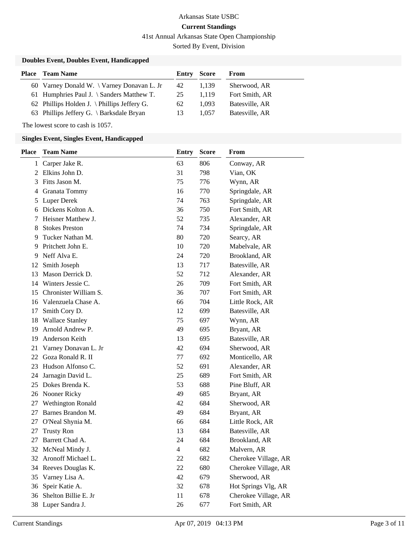41st Annual Arkansas State Open Championship

Sorted By Event, Division

### **Doubles Event, Doubles Event, Handicapped**

| Place | <b>Team Name</b>                                    | Entry | Score | From           |
|-------|-----------------------------------------------------|-------|-------|----------------|
|       | 60 Varney Donald W. \ Varney Donavan L. Jr          | 42    | 1.139 | Sherwood, AR   |
|       | 61 Humphries Paul J. \ Sanders Matthew T.           | 25    | 1.119 | Fort Smith, AR |
|       | 62 Phillips Holden J. \ Phillips Jeffery G.         | 62    | 1.093 | Batesville, AR |
|       | 63 Phillips Jeffery G. $\backslash$ Barksdale Bryan | 13    | 1.057 | Batesville, AR |

The lowest score to cash is 1057.

### **Singles Event, Singles Event, Handicapped**

| <b>Place</b> | <b>Team Name</b>       | Entry | <b>Score</b> | From                 |  |
|--------------|------------------------|-------|--------------|----------------------|--|
| 1            | Carper Jake R.         | 63    | 806          | Conway, AR           |  |
| 2            | Elkins John D.         | 31    | 798          | Vian, OK             |  |
| 3            | Fitts Jason M.         | 75    | 776          | Wynn, AR             |  |
| 4            | Granata Tommy          | 16    | 770          | Springdale, AR       |  |
| 5            | <b>Luper Derek</b>     | 74    | 763          | Springdale, AR       |  |
| 6            | Dickens Kolton A.      | 36    | 750          | Fort Smith, AR       |  |
| 7            | Heisner Matthew J.     | 52    | 735          | Alexander, AR        |  |
| 8            | <b>Stokes Preston</b>  | 74    | 734          | Springdale, AR       |  |
| 9            | Tucker Nathan M.       | 80    | 720          | Searcy, AR           |  |
| 9            | Pritchett John E.      | 10    | 720          | Mabelvale, AR        |  |
| 9            | Neff Alva E.           | 24    | 720          | Brookland, AR        |  |
| 12           | Smith Joseph           | 13    | 717          | Batesville, AR       |  |
| 13           | Mason Derrick D.       | 52    | 712          | Alexander, AR        |  |
| 14           | Winters Jessie C.      | 26    | 709          | Fort Smith, AR       |  |
| 15           | Chronister William S.  | 36    | 707          | Fort Smith, AR       |  |
| 16           | Valenzuela Chase A.    | 66    | 704          | Little Rock, AR      |  |
| 17           | Smith Cory D.          | 12    | 699          | Batesville, AR       |  |
| 18           | <b>Wallace Stanley</b> | 75    | 697          | Wynn, AR             |  |
| 19           | Arnold Andrew P.       | 49    | 695          | Bryant, AR           |  |
| 19           | Anderson Keith         | 13    | 695          | Batesville, AR       |  |
| 21           | Varney Donavan L. Jr   | 42    | 694          | Sherwood, AR         |  |
| 22           | Goza Ronald R. II      | 77    | 692          | Monticello, AR       |  |
| 23           | Hudson Alfonso C.      | 52    | 691          | Alexander, AR        |  |
| 24           | Jarnagin David L.      | 25    | 689          | Fort Smith, AR       |  |
| 25           | Dokes Brenda K.        | 53    | 688          | Pine Bluff, AR       |  |
| 26           | Nooner Ricky           | 49    | 685          | Bryant, AR           |  |
| 27           | Wethington Ronald      | 42    | 684          | Sherwood, AR         |  |
| 27           | Barnes Brandon M.      | 49    | 684          | Bryant, AR           |  |
| 27           | O'Neal Shynia M.       | 66    | 684          | Little Rock, AR      |  |
| 27           | <b>Trusty Ron</b>      | 13    | 684          | Batesville, AR       |  |
| 27           | Barrett Chad A.        | 24    | 684          | Brookland, AR        |  |
| 32           | McNeal Mindy J.        | 4     | 682          | Malvern, AR          |  |
|              | 32 Aronoff Michael L.  | 22    | 682          | Cherokee Village, AR |  |
| 34           | Reeves Douglas K.      | 22    | 680          | Cherokee Village, AR |  |
| 35           | Varney Lisa A.         | 42    | 679          | Sherwood, AR         |  |
| 36           | Speir Katie A.         | 32    | 678          | Hot Springs Vlg, AR  |  |
| 36           | Shelton Billie E. Jr   | 11    | 678          | Cherokee Village, AR |  |
|              | 38 Luper Sandra J.     | 26    | 677          | Fort Smith, AR       |  |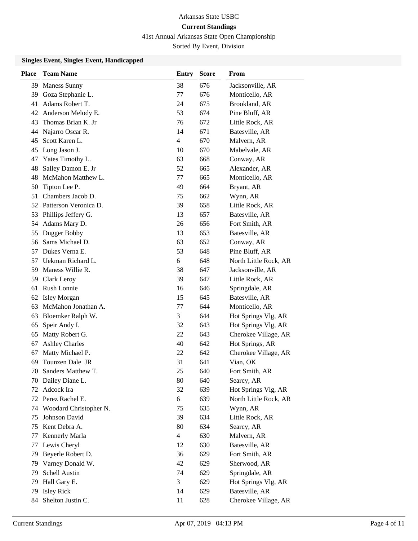41st Annual Arkansas State Open Championship

Sorted By Event, Division

### **Singles Event, Singles Event, Handicapped**

| <b>Place</b> | <b>Team Name</b>         | <b>Entry</b>   | <b>Score</b> | From                  |
|--------------|--------------------------|----------------|--------------|-----------------------|
| 39           | <b>Maness Sunny</b>      | 38             | 676          | Jacksonville, AR      |
| 39           | Goza Stephanie L.        | 77             | 676          | Monticello, AR        |
| 41           | Adams Robert T.          | 24             | 675          | Brookland, AR         |
|              | 42 Anderson Melody E.    | 53             | 674          | Pine Bluff, AR        |
| 43           | Thomas Brian K. Jr       | 76             | 672          | Little Rock, AR       |
| 44           | Najarro Oscar R.         | 14             | 671          | Batesville, AR        |
| 45           | Scott Karen L.           | $\overline{4}$ | 670          | Malvern, AR           |
| 45           | Long Jason J.            | 10             | 670          | Mabelvale, AR         |
| 47           | Yates Timothy L.         | 63             | 668          | Conway, AR            |
| 48           | Salley Damon E. Jr       | 52             | 665          | Alexander, AR         |
| 48           | McMahon Matthew L.       | 77             | 665          | Monticello, AR        |
| 50           | Tipton Lee P.            | 49             | 664          | Bryant, AR            |
| 51           | Chambers Jacob D.        | 75             | 662          | Wynn, AR              |
|              | 52 Patterson Veronica D. | 39             | 658          | Little Rock, AR       |
| 53           | Phillips Jeffery G.      | 13             | 657          | Batesville, AR        |
| 54           | Adams Mary D.            | 26             | 656          | Fort Smith, AR        |
| 55           | Dugger Bobby             | 13             | 653          | Batesville, AR        |
| 56           | Sams Michael D.          | 63             | 652          | Conway, AR            |
| 57           | Dukes Verna E.           | 53             | 648          | Pine Bluff, AR        |
| 57           | Uekman Richard L.        | 6              | 648          | North Little Rock, AR |
| 59           | Maness Willie R.         | 38             | 647          | Jacksonville, AR      |
| 59           | Clark Leroy              | 39             | 647          | Little Rock, AR       |
| 61           | Rush Lonnie              | 16             | 646          | Springdale, AR        |
| 62           | Isley Morgan             | 15             | 645          | Batesville, AR        |
| 63           | McMahon Jonathan A.      | 77             | 644          | Monticello, AR        |
| 63           | Bloemker Ralph W.        | 3              | 644          | Hot Springs Vlg, AR   |
| 65           | Speir Andy I.            | 32             | 643          | Hot Springs Vlg, AR   |
| 65           | Matty Robert G.          | 22             | 643          | Cherokee Village, AR  |
| 67           | <b>Ashley Charles</b>    | 40             | 642          | Hot Springs, AR       |
| 67           | Matty Michael P.         | 22             | 642          | Cherokee Village, AR  |
| 69           | Tounzen Dale JR          | 31             | 641          | Vian, OK              |
| 70           | Sanders Matthew T.       | 25             | 640          | Fort Smith, AR        |
|              | 70 Dailey Diane L.       | 80             | 640          | Searcy, AR            |
|              | 72 Adcock Ira            | 32             | 639          | Hot Springs Vlg, AR   |
| 72           | Perez Rachel E.          | 6              | 639          | North Little Rock, AR |
| 74           | Woodard Christopher N.   | 75             | 635          | Wynn, AR              |
| 75           | Johnson David            | 39             | 634          | Little Rock, AR       |
| 75           | Kent Debra A.            | 80             | 634          | Searcy, AR            |
| 77           | Kennerly Marla           | $\overline{4}$ | 630          | Malvern, AR           |
| 77           | Lewis Cheryl             | 12             | 630          | Batesville, AR        |
| 79           | Beyerle Robert D.        | 36             | 629          | Fort Smith, AR        |
| 79           | Varney Donald W.         | 42             | 629          | Sherwood, AR          |
| 79           | Schell Austin            | 74             | 629          | Springdale, AR        |
| 79           | Hall Gary E.             | 3              | 629          | Hot Springs Vlg, AR   |
| 79           | <b>Isley Rick</b>        | 14             | 629          | Batesville, AR        |
| 84           | Shelton Justin C.        | 11             | 628          | Cherokee Village, AR  |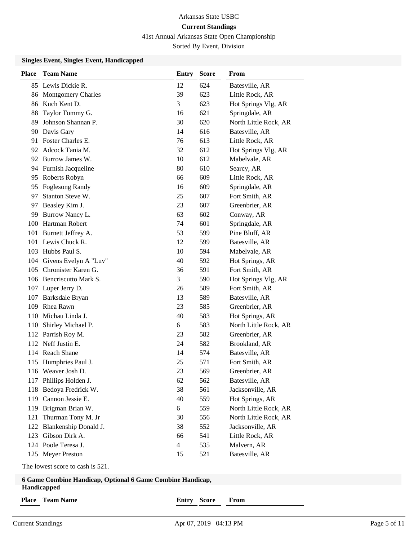41st Annual Arkansas State Open Championship

Sorted By Event, Division

### **Singles Event, Singles Event, Handicapped**

| 85 Lewis Dickie R.<br>12<br>624<br>Batesville, AR<br>39<br>623<br>Little Rock, AR<br><b>Montgomery Charles</b><br>86<br>Kuch Kent D.<br>3<br>623<br>Hot Springs Vlg, AR<br>86<br>Taylor Tommy G.<br>16<br>621<br>Springdale, AR<br>88<br>Johnson Shannan P.<br>89<br>30<br>620<br>North Little Rock, AR<br>Davis Gary<br>14<br>616<br>Batesville, AR<br>90<br>Foster Charles E.<br>613<br>76<br>Little Rock, AR<br>91<br>Adcock Tania M.<br>Hot Springs Vlg, AR<br>32<br>612<br>92<br>Burrow James W.<br>10<br>612<br>Mabelvale, AR<br>92<br>94 Furnish Jacqueline<br>80<br>610<br>Searcy, AR<br>609<br>Roberts Robyn<br>66<br>Little Rock, AR<br>95<br><b>Foglesong Randy</b><br>16<br>609<br>Springdale, AR<br>95<br>Stanton Steve W.<br>97<br>25<br>607<br>Fort Smith, AR<br>Beasley Kim J.<br>23<br>607<br>Greenbrier, AR<br>97<br>602<br>Burrow Nancy L.<br>63<br>Conway, AR<br>99<br>100 Hartman Robert<br>74<br>601<br>Springdale, AR<br>101 Burnett Jeffrey A.<br>53<br>599<br>Pine Bluff, AR<br>101 Lewis Chuck R.<br>12<br>599<br>Batesville, AR<br>103 Hubbs Paul S.<br>10<br>594<br>Mabelvale, AR<br>104 Givens Evelyn A "Luv"<br>40<br>592<br>Hot Springs, AR<br>Chronister Karen G.<br>36<br>591<br>Fort Smith, AR<br>105<br>106 Bencriscutto Mark S.<br>3<br>590<br>Hot Springs Vlg, AR<br>107 Luper Jerry D.<br>26<br>589<br>Fort Smith, AR<br>Barksdale Bryan<br>13<br>589<br>Batesville, AR<br>107<br>Rhea Rawn<br>Greenbrier, AR<br>23<br>585<br>109<br>Michau Linda J.<br>40<br>583<br>Hot Springs, AR<br>110<br>Shirley Michael P.<br>6<br>583<br>North Little Rock, AR<br>110<br>112 Parrish Roy M.<br>23<br>582<br>Greenbrier, AR<br>Neff Justin E.<br>582<br>Brookland, AR<br>112<br>24<br>114 Reach Shane<br>574<br>Batesville, AR<br>14<br>Humphries Paul J.<br>25<br>571<br>Fort Smith, AR<br>115<br>116 Weaver Josh D.<br>23<br>569<br>Greenbrier, AR<br>117 Phillips Holden J.<br>62<br>562<br>Batesville, AR<br>Bedoya Fredrick W.<br>561<br>38<br>Jacksonville, AR<br>118<br>119 Cannon Jessie E.<br>40<br>559<br>Hot Springs, AR<br>119 Brigman Brian W.<br>6<br>559<br>North Little Rock, AR<br>Thurman Tony M. Jr<br>30<br>556<br>North Little Rock, AR<br>121<br>122 Blankenship Donald J.<br>38<br>552<br>Jacksonville, AR<br>123 Gibson Dirk A.<br>66<br>541<br>Little Rock, AR<br>124 Poole Teresa J.<br>4<br>535<br>Malvern, AR<br>125 Meyer Preston<br>15<br>521<br>Batesville, AR<br>The lowest score to cash is 521.<br>6 Game Combine Handicap, Optional 6 Game Combine Handicap,<br>Handicapped<br><b>Team Name</b><br><b>Score</b><br><b>Place</b><br>Entry<br>From | <b>Place</b> | <b>Team Name</b> | Entry | <b>Score</b> | From |  |
|------------------------------------------------------------------------------------------------------------------------------------------------------------------------------------------------------------------------------------------------------------------------------------------------------------------------------------------------------------------------------------------------------------------------------------------------------------------------------------------------------------------------------------------------------------------------------------------------------------------------------------------------------------------------------------------------------------------------------------------------------------------------------------------------------------------------------------------------------------------------------------------------------------------------------------------------------------------------------------------------------------------------------------------------------------------------------------------------------------------------------------------------------------------------------------------------------------------------------------------------------------------------------------------------------------------------------------------------------------------------------------------------------------------------------------------------------------------------------------------------------------------------------------------------------------------------------------------------------------------------------------------------------------------------------------------------------------------------------------------------------------------------------------------------------------------------------------------------------------------------------------------------------------------------------------------------------------------------------------------------------------------------------------------------------------------------------------------------------------------------------------------------------------------------------------------------------------------------------------------------------------------------------------------------------------------------------------------------------------------------------------------------------------------------------------------------------------------------------------------------------------------------------------------------------------------------------------------------------------------|--------------|------------------|-------|--------------|------|--|
|                                                                                                                                                                                                                                                                                                                                                                                                                                                                                                                                                                                                                                                                                                                                                                                                                                                                                                                                                                                                                                                                                                                                                                                                                                                                                                                                                                                                                                                                                                                                                                                                                                                                                                                                                                                                                                                                                                                                                                                                                                                                                                                                                                                                                                                                                                                                                                                                                                                                                                                                                                                                                  |              |                  |       |              |      |  |
|                                                                                                                                                                                                                                                                                                                                                                                                                                                                                                                                                                                                                                                                                                                                                                                                                                                                                                                                                                                                                                                                                                                                                                                                                                                                                                                                                                                                                                                                                                                                                                                                                                                                                                                                                                                                                                                                                                                                                                                                                                                                                                                                                                                                                                                                                                                                                                                                                                                                                                                                                                                                                  |              |                  |       |              |      |  |
|                                                                                                                                                                                                                                                                                                                                                                                                                                                                                                                                                                                                                                                                                                                                                                                                                                                                                                                                                                                                                                                                                                                                                                                                                                                                                                                                                                                                                                                                                                                                                                                                                                                                                                                                                                                                                                                                                                                                                                                                                                                                                                                                                                                                                                                                                                                                                                                                                                                                                                                                                                                                                  |              |                  |       |              |      |  |
|                                                                                                                                                                                                                                                                                                                                                                                                                                                                                                                                                                                                                                                                                                                                                                                                                                                                                                                                                                                                                                                                                                                                                                                                                                                                                                                                                                                                                                                                                                                                                                                                                                                                                                                                                                                                                                                                                                                                                                                                                                                                                                                                                                                                                                                                                                                                                                                                                                                                                                                                                                                                                  |              |                  |       |              |      |  |
|                                                                                                                                                                                                                                                                                                                                                                                                                                                                                                                                                                                                                                                                                                                                                                                                                                                                                                                                                                                                                                                                                                                                                                                                                                                                                                                                                                                                                                                                                                                                                                                                                                                                                                                                                                                                                                                                                                                                                                                                                                                                                                                                                                                                                                                                                                                                                                                                                                                                                                                                                                                                                  |              |                  |       |              |      |  |
|                                                                                                                                                                                                                                                                                                                                                                                                                                                                                                                                                                                                                                                                                                                                                                                                                                                                                                                                                                                                                                                                                                                                                                                                                                                                                                                                                                                                                                                                                                                                                                                                                                                                                                                                                                                                                                                                                                                                                                                                                                                                                                                                                                                                                                                                                                                                                                                                                                                                                                                                                                                                                  |              |                  |       |              |      |  |
|                                                                                                                                                                                                                                                                                                                                                                                                                                                                                                                                                                                                                                                                                                                                                                                                                                                                                                                                                                                                                                                                                                                                                                                                                                                                                                                                                                                                                                                                                                                                                                                                                                                                                                                                                                                                                                                                                                                                                                                                                                                                                                                                                                                                                                                                                                                                                                                                                                                                                                                                                                                                                  |              |                  |       |              |      |  |
|                                                                                                                                                                                                                                                                                                                                                                                                                                                                                                                                                                                                                                                                                                                                                                                                                                                                                                                                                                                                                                                                                                                                                                                                                                                                                                                                                                                                                                                                                                                                                                                                                                                                                                                                                                                                                                                                                                                                                                                                                                                                                                                                                                                                                                                                                                                                                                                                                                                                                                                                                                                                                  |              |                  |       |              |      |  |
|                                                                                                                                                                                                                                                                                                                                                                                                                                                                                                                                                                                                                                                                                                                                                                                                                                                                                                                                                                                                                                                                                                                                                                                                                                                                                                                                                                                                                                                                                                                                                                                                                                                                                                                                                                                                                                                                                                                                                                                                                                                                                                                                                                                                                                                                                                                                                                                                                                                                                                                                                                                                                  |              |                  |       |              |      |  |
|                                                                                                                                                                                                                                                                                                                                                                                                                                                                                                                                                                                                                                                                                                                                                                                                                                                                                                                                                                                                                                                                                                                                                                                                                                                                                                                                                                                                                                                                                                                                                                                                                                                                                                                                                                                                                                                                                                                                                                                                                                                                                                                                                                                                                                                                                                                                                                                                                                                                                                                                                                                                                  |              |                  |       |              |      |  |
|                                                                                                                                                                                                                                                                                                                                                                                                                                                                                                                                                                                                                                                                                                                                                                                                                                                                                                                                                                                                                                                                                                                                                                                                                                                                                                                                                                                                                                                                                                                                                                                                                                                                                                                                                                                                                                                                                                                                                                                                                                                                                                                                                                                                                                                                                                                                                                                                                                                                                                                                                                                                                  |              |                  |       |              |      |  |
|                                                                                                                                                                                                                                                                                                                                                                                                                                                                                                                                                                                                                                                                                                                                                                                                                                                                                                                                                                                                                                                                                                                                                                                                                                                                                                                                                                                                                                                                                                                                                                                                                                                                                                                                                                                                                                                                                                                                                                                                                                                                                                                                                                                                                                                                                                                                                                                                                                                                                                                                                                                                                  |              |                  |       |              |      |  |
|                                                                                                                                                                                                                                                                                                                                                                                                                                                                                                                                                                                                                                                                                                                                                                                                                                                                                                                                                                                                                                                                                                                                                                                                                                                                                                                                                                                                                                                                                                                                                                                                                                                                                                                                                                                                                                                                                                                                                                                                                                                                                                                                                                                                                                                                                                                                                                                                                                                                                                                                                                                                                  |              |                  |       |              |      |  |
|                                                                                                                                                                                                                                                                                                                                                                                                                                                                                                                                                                                                                                                                                                                                                                                                                                                                                                                                                                                                                                                                                                                                                                                                                                                                                                                                                                                                                                                                                                                                                                                                                                                                                                                                                                                                                                                                                                                                                                                                                                                                                                                                                                                                                                                                                                                                                                                                                                                                                                                                                                                                                  |              |                  |       |              |      |  |
|                                                                                                                                                                                                                                                                                                                                                                                                                                                                                                                                                                                                                                                                                                                                                                                                                                                                                                                                                                                                                                                                                                                                                                                                                                                                                                                                                                                                                                                                                                                                                                                                                                                                                                                                                                                                                                                                                                                                                                                                                                                                                                                                                                                                                                                                                                                                                                                                                                                                                                                                                                                                                  |              |                  |       |              |      |  |
|                                                                                                                                                                                                                                                                                                                                                                                                                                                                                                                                                                                                                                                                                                                                                                                                                                                                                                                                                                                                                                                                                                                                                                                                                                                                                                                                                                                                                                                                                                                                                                                                                                                                                                                                                                                                                                                                                                                                                                                                                                                                                                                                                                                                                                                                                                                                                                                                                                                                                                                                                                                                                  |              |                  |       |              |      |  |
|                                                                                                                                                                                                                                                                                                                                                                                                                                                                                                                                                                                                                                                                                                                                                                                                                                                                                                                                                                                                                                                                                                                                                                                                                                                                                                                                                                                                                                                                                                                                                                                                                                                                                                                                                                                                                                                                                                                                                                                                                                                                                                                                                                                                                                                                                                                                                                                                                                                                                                                                                                                                                  |              |                  |       |              |      |  |
|                                                                                                                                                                                                                                                                                                                                                                                                                                                                                                                                                                                                                                                                                                                                                                                                                                                                                                                                                                                                                                                                                                                                                                                                                                                                                                                                                                                                                                                                                                                                                                                                                                                                                                                                                                                                                                                                                                                                                                                                                                                                                                                                                                                                                                                                                                                                                                                                                                                                                                                                                                                                                  |              |                  |       |              |      |  |
|                                                                                                                                                                                                                                                                                                                                                                                                                                                                                                                                                                                                                                                                                                                                                                                                                                                                                                                                                                                                                                                                                                                                                                                                                                                                                                                                                                                                                                                                                                                                                                                                                                                                                                                                                                                                                                                                                                                                                                                                                                                                                                                                                                                                                                                                                                                                                                                                                                                                                                                                                                                                                  |              |                  |       |              |      |  |
|                                                                                                                                                                                                                                                                                                                                                                                                                                                                                                                                                                                                                                                                                                                                                                                                                                                                                                                                                                                                                                                                                                                                                                                                                                                                                                                                                                                                                                                                                                                                                                                                                                                                                                                                                                                                                                                                                                                                                                                                                                                                                                                                                                                                                                                                                                                                                                                                                                                                                                                                                                                                                  |              |                  |       |              |      |  |
|                                                                                                                                                                                                                                                                                                                                                                                                                                                                                                                                                                                                                                                                                                                                                                                                                                                                                                                                                                                                                                                                                                                                                                                                                                                                                                                                                                                                                                                                                                                                                                                                                                                                                                                                                                                                                                                                                                                                                                                                                                                                                                                                                                                                                                                                                                                                                                                                                                                                                                                                                                                                                  |              |                  |       |              |      |  |
|                                                                                                                                                                                                                                                                                                                                                                                                                                                                                                                                                                                                                                                                                                                                                                                                                                                                                                                                                                                                                                                                                                                                                                                                                                                                                                                                                                                                                                                                                                                                                                                                                                                                                                                                                                                                                                                                                                                                                                                                                                                                                                                                                                                                                                                                                                                                                                                                                                                                                                                                                                                                                  |              |                  |       |              |      |  |
|                                                                                                                                                                                                                                                                                                                                                                                                                                                                                                                                                                                                                                                                                                                                                                                                                                                                                                                                                                                                                                                                                                                                                                                                                                                                                                                                                                                                                                                                                                                                                                                                                                                                                                                                                                                                                                                                                                                                                                                                                                                                                                                                                                                                                                                                                                                                                                                                                                                                                                                                                                                                                  |              |                  |       |              |      |  |
|                                                                                                                                                                                                                                                                                                                                                                                                                                                                                                                                                                                                                                                                                                                                                                                                                                                                                                                                                                                                                                                                                                                                                                                                                                                                                                                                                                                                                                                                                                                                                                                                                                                                                                                                                                                                                                                                                                                                                                                                                                                                                                                                                                                                                                                                                                                                                                                                                                                                                                                                                                                                                  |              |                  |       |              |      |  |
|                                                                                                                                                                                                                                                                                                                                                                                                                                                                                                                                                                                                                                                                                                                                                                                                                                                                                                                                                                                                                                                                                                                                                                                                                                                                                                                                                                                                                                                                                                                                                                                                                                                                                                                                                                                                                                                                                                                                                                                                                                                                                                                                                                                                                                                                                                                                                                                                                                                                                                                                                                                                                  |              |                  |       |              |      |  |
|                                                                                                                                                                                                                                                                                                                                                                                                                                                                                                                                                                                                                                                                                                                                                                                                                                                                                                                                                                                                                                                                                                                                                                                                                                                                                                                                                                                                                                                                                                                                                                                                                                                                                                                                                                                                                                                                                                                                                                                                                                                                                                                                                                                                                                                                                                                                                                                                                                                                                                                                                                                                                  |              |                  |       |              |      |  |
|                                                                                                                                                                                                                                                                                                                                                                                                                                                                                                                                                                                                                                                                                                                                                                                                                                                                                                                                                                                                                                                                                                                                                                                                                                                                                                                                                                                                                                                                                                                                                                                                                                                                                                                                                                                                                                                                                                                                                                                                                                                                                                                                                                                                                                                                                                                                                                                                                                                                                                                                                                                                                  |              |                  |       |              |      |  |
|                                                                                                                                                                                                                                                                                                                                                                                                                                                                                                                                                                                                                                                                                                                                                                                                                                                                                                                                                                                                                                                                                                                                                                                                                                                                                                                                                                                                                                                                                                                                                                                                                                                                                                                                                                                                                                                                                                                                                                                                                                                                                                                                                                                                                                                                                                                                                                                                                                                                                                                                                                                                                  |              |                  |       |              |      |  |
|                                                                                                                                                                                                                                                                                                                                                                                                                                                                                                                                                                                                                                                                                                                                                                                                                                                                                                                                                                                                                                                                                                                                                                                                                                                                                                                                                                                                                                                                                                                                                                                                                                                                                                                                                                                                                                                                                                                                                                                                                                                                                                                                                                                                                                                                                                                                                                                                                                                                                                                                                                                                                  |              |                  |       |              |      |  |
|                                                                                                                                                                                                                                                                                                                                                                                                                                                                                                                                                                                                                                                                                                                                                                                                                                                                                                                                                                                                                                                                                                                                                                                                                                                                                                                                                                                                                                                                                                                                                                                                                                                                                                                                                                                                                                                                                                                                                                                                                                                                                                                                                                                                                                                                                                                                                                                                                                                                                                                                                                                                                  |              |                  |       |              |      |  |
|                                                                                                                                                                                                                                                                                                                                                                                                                                                                                                                                                                                                                                                                                                                                                                                                                                                                                                                                                                                                                                                                                                                                                                                                                                                                                                                                                                                                                                                                                                                                                                                                                                                                                                                                                                                                                                                                                                                                                                                                                                                                                                                                                                                                                                                                                                                                                                                                                                                                                                                                                                                                                  |              |                  |       |              |      |  |
|                                                                                                                                                                                                                                                                                                                                                                                                                                                                                                                                                                                                                                                                                                                                                                                                                                                                                                                                                                                                                                                                                                                                                                                                                                                                                                                                                                                                                                                                                                                                                                                                                                                                                                                                                                                                                                                                                                                                                                                                                                                                                                                                                                                                                                                                                                                                                                                                                                                                                                                                                                                                                  |              |                  |       |              |      |  |
|                                                                                                                                                                                                                                                                                                                                                                                                                                                                                                                                                                                                                                                                                                                                                                                                                                                                                                                                                                                                                                                                                                                                                                                                                                                                                                                                                                                                                                                                                                                                                                                                                                                                                                                                                                                                                                                                                                                                                                                                                                                                                                                                                                                                                                                                                                                                                                                                                                                                                                                                                                                                                  |              |                  |       |              |      |  |
|                                                                                                                                                                                                                                                                                                                                                                                                                                                                                                                                                                                                                                                                                                                                                                                                                                                                                                                                                                                                                                                                                                                                                                                                                                                                                                                                                                                                                                                                                                                                                                                                                                                                                                                                                                                                                                                                                                                                                                                                                                                                                                                                                                                                                                                                                                                                                                                                                                                                                                                                                                                                                  |              |                  |       |              |      |  |
|                                                                                                                                                                                                                                                                                                                                                                                                                                                                                                                                                                                                                                                                                                                                                                                                                                                                                                                                                                                                                                                                                                                                                                                                                                                                                                                                                                                                                                                                                                                                                                                                                                                                                                                                                                                                                                                                                                                                                                                                                                                                                                                                                                                                                                                                                                                                                                                                                                                                                                                                                                                                                  |              |                  |       |              |      |  |
|                                                                                                                                                                                                                                                                                                                                                                                                                                                                                                                                                                                                                                                                                                                                                                                                                                                                                                                                                                                                                                                                                                                                                                                                                                                                                                                                                                                                                                                                                                                                                                                                                                                                                                                                                                                                                                                                                                                                                                                                                                                                                                                                                                                                                                                                                                                                                                                                                                                                                                                                                                                                                  |              |                  |       |              |      |  |
|                                                                                                                                                                                                                                                                                                                                                                                                                                                                                                                                                                                                                                                                                                                                                                                                                                                                                                                                                                                                                                                                                                                                                                                                                                                                                                                                                                                                                                                                                                                                                                                                                                                                                                                                                                                                                                                                                                                                                                                                                                                                                                                                                                                                                                                                                                                                                                                                                                                                                                                                                                                                                  |              |                  |       |              |      |  |
|                                                                                                                                                                                                                                                                                                                                                                                                                                                                                                                                                                                                                                                                                                                                                                                                                                                                                                                                                                                                                                                                                                                                                                                                                                                                                                                                                                                                                                                                                                                                                                                                                                                                                                                                                                                                                                                                                                                                                                                                                                                                                                                                                                                                                                                                                                                                                                                                                                                                                                                                                                                                                  |              |                  |       |              |      |  |
|                                                                                                                                                                                                                                                                                                                                                                                                                                                                                                                                                                                                                                                                                                                                                                                                                                                                                                                                                                                                                                                                                                                                                                                                                                                                                                                                                                                                                                                                                                                                                                                                                                                                                                                                                                                                                                                                                                                                                                                                                                                                                                                                                                                                                                                                                                                                                                                                                                                                                                                                                                                                                  |              |                  |       |              |      |  |
|                                                                                                                                                                                                                                                                                                                                                                                                                                                                                                                                                                                                                                                                                                                                                                                                                                                                                                                                                                                                                                                                                                                                                                                                                                                                                                                                                                                                                                                                                                                                                                                                                                                                                                                                                                                                                                                                                                                                                                                                                                                                                                                                                                                                                                                                                                                                                                                                                                                                                                                                                                                                                  |              |                  |       |              |      |  |
|                                                                                                                                                                                                                                                                                                                                                                                                                                                                                                                                                                                                                                                                                                                                                                                                                                                                                                                                                                                                                                                                                                                                                                                                                                                                                                                                                                                                                                                                                                                                                                                                                                                                                                                                                                                                                                                                                                                                                                                                                                                                                                                                                                                                                                                                                                                                                                                                                                                                                                                                                                                                                  |              |                  |       |              |      |  |
|                                                                                                                                                                                                                                                                                                                                                                                                                                                                                                                                                                                                                                                                                                                                                                                                                                                                                                                                                                                                                                                                                                                                                                                                                                                                                                                                                                                                                                                                                                                                                                                                                                                                                                                                                                                                                                                                                                                                                                                                                                                                                                                                                                                                                                                                                                                                                                                                                                                                                                                                                                                                                  |              |                  |       |              |      |  |
|                                                                                                                                                                                                                                                                                                                                                                                                                                                                                                                                                                                                                                                                                                                                                                                                                                                                                                                                                                                                                                                                                                                                                                                                                                                                                                                                                                                                                                                                                                                                                                                                                                                                                                                                                                                                                                                                                                                                                                                                                                                                                                                                                                                                                                                                                                                                                                                                                                                                                                                                                                                                                  |              |                  |       |              |      |  |
|                                                                                                                                                                                                                                                                                                                                                                                                                                                                                                                                                                                                                                                                                                                                                                                                                                                                                                                                                                                                                                                                                                                                                                                                                                                                                                                                                                                                                                                                                                                                                                                                                                                                                                                                                                                                                                                                                                                                                                                                                                                                                                                                                                                                                                                                                                                                                                                                                                                                                                                                                                                                                  |              |                  |       |              |      |  |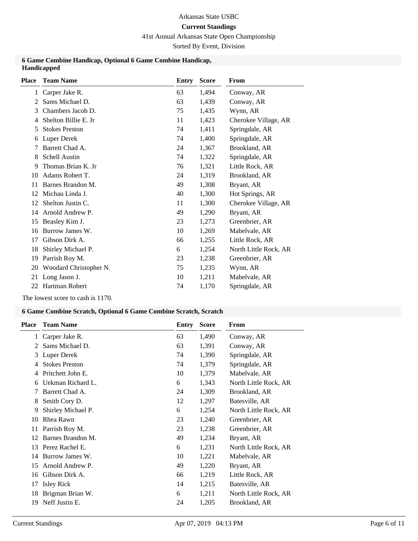### **Current Standings**

41st Annual Arkansas State Open Championship

Sorted By Event, Division

### **6 Game Combine Handicap, Optional 6 Game Combine Handicap, Handicapped**

| <b>Place</b> | <b>Team Name</b>       | Entry | <b>Score</b> | From                  |
|--------------|------------------------|-------|--------------|-----------------------|
| 1            | Carper Jake R.         | 63    | 1,494        | Conway, AR            |
| 2            | Sams Michael D.        | 63    | 1,439        | Conway, AR            |
| 3            | Chambers Jacob D.      | 75    | 1,435        | Wynn, AR              |
| 4            | Shelton Billie E. Jr   | 11    | 1,423        | Cherokee Village, AR  |
| 5            | <b>Stokes Preston</b>  | 74    | 1,411        | Springdale, AR        |
| 6            | Luper Derek            | 74    | 1,400        | Springdale, AR        |
|              | Barrett Chad A.        | 24    | 1,367        | Brookland, AR         |
| 8            | Schell Austin          | 74    | 1,322        | Springdale, AR        |
| 9            | Thomas Brian K. Jr.    | 76    | 1,321        | Little Rock, AR       |
| 10           | Adams Robert T.        | 24    | 1,319        | Brookland, AR         |
| 11           | Barnes Brandon M.      | 49    | 1,308        | Bryant, AR            |
| 12           | Michau Linda J.        | 40    | 1,300        | Hot Springs, AR       |
| 12           | Shelton Justin C.      | 11    | 1,300        | Cherokee Village, AR  |
| 14           | Arnold Andrew P.       | 49    | 1,290        | Bryant, AR            |
| 15           | Beasley Kim J.         | 23    | 1,273        | Greenbrier, AR        |
| 16           | Burrow James W.        | 10    | 1,269        | Mabelvale, AR         |
| 17           | Gibson Dirk A.         | 66    | 1,255        | Little Rock, AR       |
| 18           | Shirley Michael P.     | 6     | 1,254        | North Little Rock, AR |
| 19           | Parrish Roy M.         | 23    | 1,238        | Greenbrier, AR        |
| 20           | Woodard Christopher N. | 75    | 1,235        | Wynn, AR              |
| 21           | Long Jason J.          | 10    | 1,211        | Mabelvale, AR         |
| 22           | <b>Hartman Robert</b>  | 74    | 1,170        | Springdale, AR        |

The lowest score to cash is 1170.

### **6 Game Combine Scratch, Optional 6 Game Combine Scratch, Scratch**

| <b>Place</b> | <b>Team Name</b>      | Entry | <b>Score</b> | From                  |
|--------------|-----------------------|-------|--------------|-----------------------|
| 1            | Carper Jake R.        | 63    | 1,490        | Conway, AR            |
| 2            | Sams Michael D.       | 63    | 1,391        | Conway, AR            |
| 3            | Luper Derek           | 74    | 1,390        | Springdale, AR        |
| 4            | <b>Stokes Preston</b> | 74    | 1,379        | Springdale, AR        |
| 4            | Pritchett John E.     | 10    | 1,379        | Mabelvale, AR         |
| 6            | Uekman Richard L.     | 6     | 1,343        | North Little Rock, AR |
| 7            | Barrett Chad A.       | 24    | 1,309        | Brookland, AR         |
| 8            | Smith Cory D.         | 12    | 1,297        | Batesville, AR        |
| 9            | Shirley Michael P.    | 6     | 1,254        | North Little Rock, AR |
| 10           | Rhea Rawn             | 23    | 1,240        | Greenbrier, AR        |
| 11           | Parrish Roy M.        | 23    | 1,238        | Greenbrier, AR        |
| 12           | Barnes Brandon M.     | 49    | 1,234        | Bryant, AR            |
| 13           | Perez Rachel E.       | 6     | 1,231        | North Little Rock, AR |
| 14           | Burrow James W.       | 10    | 1,221        | Mabelvale, AR         |
| 15           | Arnold Andrew P.      | 49    | 1,220        | Bryant, AR            |
| 16           | Gibson Dirk A.        | 66    | 1,219        | Little Rock, AR       |
| 17           | <b>Isley Rick</b>     | 14    | 1,215        | Batesville, AR        |
| 18           | Brigman Brian W.      | 6     | 1,211        | North Little Rock, AR |
| 19           | Neff Justin E.        | 24    | 1,205        | Brookland, AR         |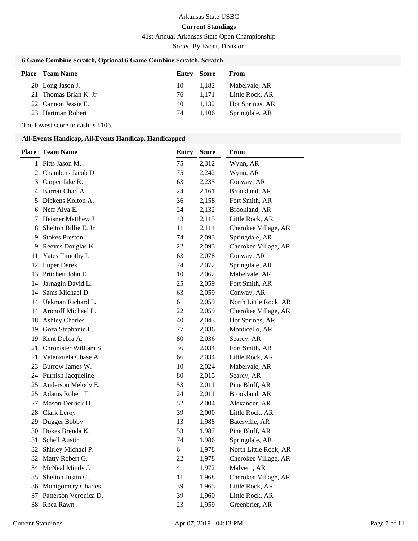## **Current Standings**

41st Annual Arkansas State Open Championship

Sorted By Event, Division

### **6 Game Combine Scratch, Optional 6 Game Combine Scratch, Scratch**

| <b>Place</b> Team Name | Entry | Score | From            |
|------------------------|-------|-------|-----------------|
| 20 Long Jason J.       | 10    | 1.182 | Mabelvale, AR   |
| 21 Thomas Brian K. Jr  | 76    | 1.171 | Little Rock, AR |
| 22 Cannon Jessie E.    | 40    | 1.132 | Hot Springs, AR |
| 23 Hartman Robert      | 74    | 1.106 | Springdale, AR  |

The lowest score to cash is 1106.

### **All-Events Handicap, All-Events Handicap, Handicapped**

| <b>Place</b>   | <b>Team Name</b>      | <b>Entry</b>   | <b>Score</b> | From                  |
|----------------|-----------------------|----------------|--------------|-----------------------|
|                | 1 Fitts Jason M.      | 75             | 2,312        | Wynn, AR              |
| $\overline{2}$ | Chambers Jacob D.     | 75             | 2,242        | Wynn, AR              |
| 3              | Carper Jake R.        | 63             | 2,235        | Conway, AR            |
| 4              | Barrett Chad A.       | 24             | 2,161        | Brookland, AR         |
| 5              | Dickens Kolton A.     | 36             | 2,158        | Fort Smith, AR        |
| 6              | Neff Alva E.          | 24             | 2,132        | Brookland, AR         |
| 7              | Heisner Matthew J.    | 43             | 2,115        | Little Rock, AR       |
| 8              | Shelton Billie E. Jr  | 11             | 2,114        | Cherokee Village, AR  |
| 9              | <b>Stokes Preston</b> | 74             | 2,093        | Springdale, AR        |
| 9              | Reeves Douglas K.     | 22             | 2,093        | Cherokee Village, AR  |
| 11             | Yates Timothy L.      | 63             | 2,078        | Conway, AR            |
| 12             | Luper Derek           | 74             | 2,072        | Springdale, AR        |
| 13             | Pritchett John E.     | 10             | 2,062        | Mabelvale, AR         |
| 14             | Jarnagin David L.     | 25             | 2,059        | Fort Smith, AR        |
| 14             | Sams Michael D.       | 63             | 2,059        | Conway, AR            |
| 14             | Uekman Richard L.     | 6              | 2,059        | North Little Rock, AR |
| 14             | Aronoff Michael L.    | 22             | 2,059        | Cherokee Village, AR  |
| 18             | <b>Ashley Charles</b> | 40             | 2,043        | Hot Springs, AR       |
| 19             | Goza Stephanie L.     | 77             | 2,036        | Monticello, AR        |
| 19             | Kent Debra A.         | 80             | 2,036        | Searcy, AR            |
| 21             | Chronister William S. | 36             | 2,034        | Fort Smith, AR        |
| 21             | Valenzuela Chase A.   | 66             | 2,034        | Little Rock, AR       |
| 23             | Burrow James W.       | 10             | 2,024        | Mabelvale, AR         |
| 24             | Furnish Jacqueline    | 80             | 2,015        | Searcy, AR            |
| 25             | Anderson Melody E.    | 53             | 2,011        | Pine Bluff, AR        |
| 25             | Adams Robert T.       | 24             | 2,011        | Brookland, AR         |
| 27             | Mason Derrick D.      | 52             | 2,004        | Alexander, AR         |
| 28             | Clark Leroy           | 39             | 2,000        | Little Rock, AR       |
| 29             | Dugger Bobby          | 13             | 1,988        | Batesville, AR        |
| 30             | Dokes Brenda K.       | 53             | 1,987        | Pine Bluff, AR        |
| 31             | Schell Austin         | 74             | 1,986        | Springdale, AR        |
| 32             | Shirley Michael P.    | 6              | 1,978        | North Little Rock, AR |
|                | 32 Matty Robert G.    | 22             | 1,978        | Cherokee Village, AR  |
| 34             | McNeal Mindy J.       | $\overline{4}$ | 1,972        | Malvern, AR           |
| 35             | Shelton Justin C.     | 11             | 1,968        | Cherokee Village, AR  |
| 36             | Montgomery Charles    | 39             | 1,965        | Little Rock, AR       |
| 37             | Patterson Veronica D. | 39             | 1,960        | Little Rock, AR       |
| 38             | Rhea Rawn             | 23             | 1,959        | Greenbrier, AR        |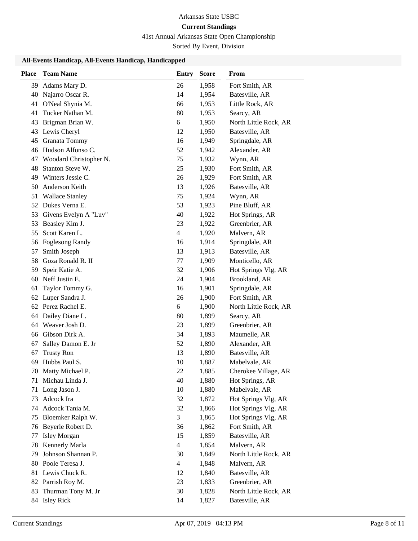## **Current Standings**

41st Annual Arkansas State Open Championship

Sorted By Event, Division

### **All-Events Handicap, All-Events Handicap, Handicapped**

| <b>Place</b> | <b>Team Name</b>       | <b>Entry</b>   | <b>Score</b> | From                  |
|--------------|------------------------|----------------|--------------|-----------------------|
| 39           | Adams Mary D.          | 26             | 1,958        | Fort Smith, AR        |
| $40\,$       | Najarro Oscar R.       | 14             | 1,954        | Batesville, AR        |
| 41           | O'Neal Shynia M.       | 66             | 1,953        | Little Rock, AR       |
| 41           | Tucker Nathan M.       | 80             | 1,953        | Searcy, AR            |
| 43           | Brigman Brian W.       | 6              | 1,950        | North Little Rock, AR |
| 43           | Lewis Cheryl           | 12             | 1,950        | Batesville, AR        |
| 45           | Granata Tommy          | 16             | 1,949        | Springdale, AR        |
| 46           | Hudson Alfonso C.      | 52             | 1,942        | Alexander, AR         |
| 47           | Woodard Christopher N. | 75             | 1,932        | Wynn, AR              |
| 48           | Stanton Steve W.       | 25             | 1,930        | Fort Smith, AR        |
| 49           | Winters Jessie C.      | 26             | 1,929        | Fort Smith, AR        |
| 50           | Anderson Keith         | 13             | 1,926        | Batesville, AR        |
| 51           | <b>Wallace Stanley</b> | 75             | 1,924        | Wynn, AR              |
|              | 52 Dukes Verna E.      | 53             | 1,923        | Pine Bluff, AR        |
| 53           | Givens Evelyn A "Luv"  | 40             | 1,922        | Hot Springs, AR       |
| 53           | Beasley Kim J.         | 23             | 1,922        | Greenbrier, AR        |
| 55           | Scott Karen L.         | 4              | 1,920        | Malvern, AR           |
|              | 56 Foglesong Randy     | 16             | 1,914        | Springdale, AR        |
| 57           | Smith Joseph           | 13             | 1,913        | Batesville, AR        |
| 58           | Goza Ronald R. II      | 77             | 1,909        | Monticello, AR        |
| 59           | Speir Katie A.         | 32             | 1,906        | Hot Springs Vlg, AR   |
| 60           | Neff Justin E.         | 24             | 1,904        | Brookland, AR         |
| 61           | Taylor Tommy G.        | 16             | 1,901        | Springdale, AR        |
| 62           | Luper Sandra J.        | 26             | 1,900        | Fort Smith, AR        |
|              | 62 Perez Rachel E.     | 6              | 1,900        | North Little Rock, AR |
| 64           | Dailey Diane L.        | 80             | 1,899        | Searcy, AR            |
| 64           | Weaver Josh D.         | 23             | 1,899        | Greenbrier, AR        |
| 66           | Gibson Dirk A.         | 34             | 1,893        | Maumelle, AR          |
| 67           | Salley Damon E. Jr     | 52             | 1,890        | Alexander, AR         |
| 67           | <b>Trusty Ron</b>      | 13             | 1,890        | Batesville, AR        |
| 69           | Hubbs Paul S.          | 10             | 1,887        | Mabelvale, AR         |
| 70           | Matty Michael P.       | 22             | 1,885        | Cherokee Village, AR  |
| 71           | Michau Linda J.        | 40             | 1,880        | Hot Springs, AR       |
| 71           | Long Jason J.          | 10             | 1,880        | Mabelvale, AR         |
| 73           | Adcock Ira             | 32             | 1,872        | Hot Springs Vlg, AR   |
| 74           | Adcock Tania M.        | 32             | 1,866        | Hot Springs Vlg, AR   |
| 75           | Bloemker Ralph W.      | 3              | 1,865        | Hot Springs Vlg, AR   |
| 76           | Beyerle Robert D.      | 36             | 1,862        | Fort Smith, AR        |
| 77           | <b>Isley Morgan</b>    | 15             | 1,859        | Batesville, AR        |
| 78           | Kennerly Marla         | $\overline{4}$ | 1,854        | Malvern, AR           |
| 79           | Johnson Shannan P.     | 30             | 1,849        | North Little Rock, AR |
| 80           | Poole Teresa J.        | $\overline{4}$ | 1,848        | Malvern, AR           |
| 81           | Lewis Chuck R.         | 12             | 1,840        | Batesville, AR        |
| 82           | Parrish Roy M.         | 23             | 1,833        | Greenbrier, AR        |
| 83           | Thurman Tony M. Jr     | 30             | 1,828        | North Little Rock, AR |
|              | 84 Isley Rick          | 14             | 1,827        | Batesville, AR        |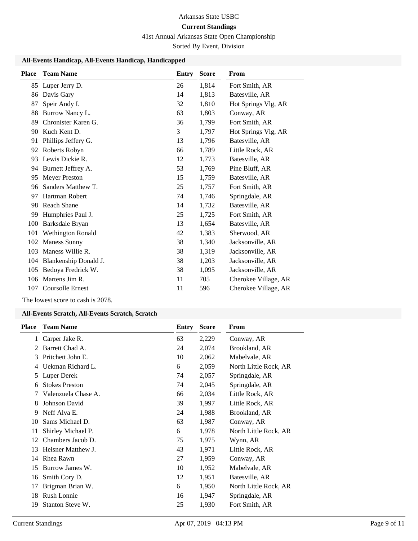## **Current Standings**

41st Annual Arkansas State Open Championship

Sorted By Event, Division

### **All-Events Handicap, All-Events Handicap, Handicapped**

| <b>Place</b> | <b>Team Name</b>         | Entry | <b>Score</b> | From                 |
|--------------|--------------------------|-------|--------------|----------------------|
| 85           | Luper Jerry D.           | 26    | 1,814        | Fort Smith, AR       |
| 86           | Davis Gary               | 14    | 1,813        | Batesville, AR       |
| 87           | Speir Andy I.            | 32    | 1,810        | Hot Springs Vlg, AR  |
| 88           | Burrow Nancy L.          | 63    | 1,803        | Conway, AR           |
| 89           | Chronister Karen G.      | 36    | 1,799        | Fort Smith, AR       |
| 90           | Kuch Kent D.             | 3     | 1,797        | Hot Springs Vlg, AR  |
| 91           | Phillips Jeffery G.      | 13    | 1,796        | Batesville, AR       |
| 92           | Roberts Robyn            | 66    | 1,789        | Little Rock, AR      |
| 93           | Lewis Dickie R.          | 12    | 1,773        | Batesville, AR       |
| 94           | Burnett Jeffrey A.       | 53    | 1,769        | Pine Bluff, AR       |
| 95           | <b>Meyer Preston</b>     | 15    | 1,759        | Batesville, AR       |
| 96           | Sanders Matthew T.       | 25    | 1,757        | Fort Smith, AR       |
| 97           | Hartman Robert           | 74    | 1,746        | Springdale, AR       |
| 98           | Reach Shane              | 14    | 1,732        | Batesville, AR       |
| 99           | Humphries Paul J.        | 25    | 1,725        | Fort Smith, AR       |
| 100          | Barksdale Bryan          | 13    | 1,654        | Batesville, AR       |
| 101          | <b>Wethington Ronald</b> | 42    | 1,383        | Sherwood, AR         |
| 102          | <b>Maness Sunny</b>      | 38    | 1,340        | Jacksonville, AR     |
| 103          | Maness Willie R.         | 38    | 1,319        | Jacksonville, AR     |
| 104          | Blankenship Donald J.    | 38    | 1,203        | Jacksonville, AR     |
| 105          | Bedoya Fredrick W.       | 38    | 1,095        | Jacksonville, AR     |
| 106          | Martens Jim R.           | 11    | 705          | Cherokee Village, AR |
| 107          | <b>Coursolle Ernest</b>  | 11    | 596          | Cherokee Village, AR |

The lowest score to cash is 2078.

### **All-Events Scratch, All-Events Scratch, Scratch**

| <b>Place</b> | <b>Team Name</b>      | Entry | <b>Score</b> | From                  |
|--------------|-----------------------|-------|--------------|-----------------------|
| 1            | Carper Jake R.        | 63    | 2,229        | Conway, AR            |
| 2            | Barrett Chad A.       | 24    | 2,074        | Brookland, AR         |
| 3            | Pritchett John E.     | 10    | 2,062        | Mabelvale, AR         |
| 4            | Uekman Richard L.     | 6     | 2,059        | North Little Rock, AR |
| 5            | Luper Derek           | 74    | 2,057        | Springdale, AR        |
| 6            | <b>Stokes Preston</b> | 74    | 2,045        | Springdale, AR        |
| 7            | Valenzuela Chase A.   | 66    | 2,034        | Little Rock, AR       |
| 8            | Johnson David         | 39    | 1,997        | Little Rock, AR       |
| 9            | Neff Alva E.          | 24    | 1,988        | Brookland, AR         |
| 10           | Sams Michael D.       | 63    | 1,987        | Conway, AR            |
| 11           | Shirley Michael P.    | 6     | 1,978        | North Little Rock, AR |
| 12           | Chambers Jacob D.     | 75    | 1,975        | Wynn, AR              |
| 13           | Heisner Matthew J.    | 43    | 1,971        | Little Rock, AR       |
| 14           | Rhea Rawn             | 27    | 1,959        | Conway, AR            |
| 15           | Burrow James W.       | 10    | 1,952        | Mabelvale, AR         |
| 16           | Smith Cory D.         | 12    | 1,951        | Batesville, AR        |
| 17           | Brigman Brian W.      | 6     | 1,950        | North Little Rock, AR |
| 18           | <b>Rush Lonnie</b>    | 16    | 1,947        | Springdale, AR        |
| 19           | Stanton Steve W.      | 25    | 1,930        | Fort Smith, AR        |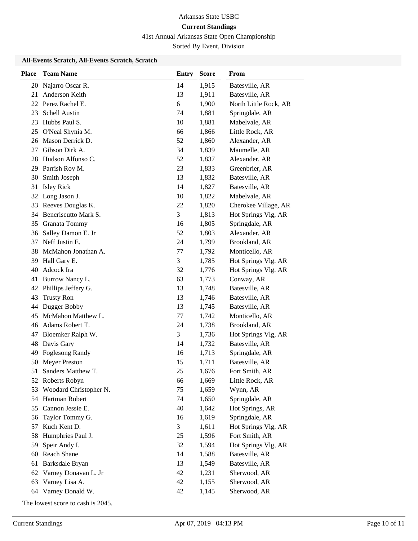41st Annual Arkansas State Open Championship

Sorted By Event, Division

### **All-Events Scratch, All-Events Scratch, Scratch**

| <b>Place</b> | <b>Team Name</b>       | <b>Entry</b> | <b>Score</b> | From                  |
|--------------|------------------------|--------------|--------------|-----------------------|
| 20           | Najarro Oscar R.       | 14           | 1,915        | Batesville, AR        |
| 21           | Anderson Keith         | 13           | 1,911        | Batesville, AR        |
|              | 22 Perez Rachel E.     | 6            | 1,900        | North Little Rock, AR |
| 23           | Schell Austin          | 74           | 1,881        | Springdale, AR        |
| 23           | Hubbs Paul S.          | 10           | 1,881        | Mabelvale, AR         |
| 25           | O'Neal Shynia M.       | 66           | 1,866        | Little Rock, AR       |
| 26           | Mason Derrick D.       | 52           | 1,860        | Alexander, AR         |
| 27           | Gibson Dirk A.         | 34           | 1,839        | Maumelle, AR          |
| 28           | Hudson Alfonso C.      | 52           | 1,837        | Alexander, AR         |
| 29           | Parrish Roy M.         | 23           | 1,833        | Greenbrier, AR        |
| 30           | Smith Joseph           | 13           | 1,832        | Batesville, AR        |
| 31           | <b>Isley Rick</b>      | 14           | 1,827        | Batesville, AR        |
| 32           | Long Jason J.          | 10           | 1,822        | Mabelvale, AR         |
| 33           | Reeves Douglas K.      | 22           | 1,820        | Cherokee Village, AR  |
| 34           | Bencriscutto Mark S.   | 3            | 1,813        | Hot Springs Vlg, AR   |
| 35           | Granata Tommy          | 16           | 1,805        | Springdale, AR        |
| 36           | Salley Damon E. Jr     | 52           | 1,803        | Alexander, AR         |
| 37           | Neff Justin E.         | 24           | 1,799        | Brookland, AR         |
| 38           | McMahon Jonathan A.    | 77           | 1,792        | Monticello, AR        |
| 39           | Hall Gary E.           | 3            | 1,785        | Hot Springs Vlg, AR   |
| 40           | Adcock Ira             | 32           | 1,776        | Hot Springs Vlg, AR   |
| 41           | Burrow Nancy L.        | 63           | 1,773        | Conway, AR            |
| 42           | Phillips Jeffery G.    | 13           | 1,748        | Batesville, AR        |
| 43           | <b>Trusty Ron</b>      | 13           | 1,746        | Batesville, AR        |
| 44           | Dugger Bobby           | 13           | 1,745        | Batesville, AR        |
| 45           | McMahon Matthew L.     | 77           | 1,742        | Monticello, AR        |
| 46           | Adams Robert T.        | 24           | 1,738        | Brookland, AR         |
| 47           | Bloemker Ralph W.      | 3            | 1,736        | Hot Springs Vlg, AR   |
| 48           | Davis Gary             | 14           | 1,732        | Batesville, AR        |
| 49           | Foglesong Randy        | 16           | 1,713        | Springdale, AR        |
| 50           | <b>Meyer Preston</b>   | 15           | 1,711        | Batesville, AR        |
| 51           | Sanders Matthew T.     | 25           | 1,676        | Fort Smith, AR        |
|              | 52 Roberts Robyn       | 66           | 1,669        | Little Rock, AR       |
| 53           | Woodard Christopher N. | 75           | 1,659        | Wynn, AR              |
| 54           | Hartman Robert         | 74           | 1,650        | Springdale, AR        |
| 55           | Cannon Jessie E.       | 40           | 1,642        | Hot Springs, AR       |
| 56           | Taylor Tommy G.        | 16           | 1,619        | Springdale, AR        |
| 57           | Kuch Kent D.           | 3            | 1,611        | Hot Springs Vlg, AR   |
| 58           | Humphries Paul J.      | 25           | 1,596        | Fort Smith, AR        |
| 59           | Speir Andy I.          | 32           | 1,594        | Hot Springs Vlg, AR   |
| 60           | Reach Shane            | 14           | 1,588        | Batesville, AR        |
| 61           | Barksdale Bryan        | 13           | 1,549        | Batesville, AR        |
| 62           | Varney Donavan L. Jr   | 42           | 1,231        | Sherwood, AR          |
| 63           | Varney Lisa A.         | 42           | 1,155        | Sherwood, AR          |
| 64           | Varney Donald W.       | 42           | 1,145        | Sherwood, AR          |
|              |                        |              |              |                       |

The lowest score to cash is 2045.